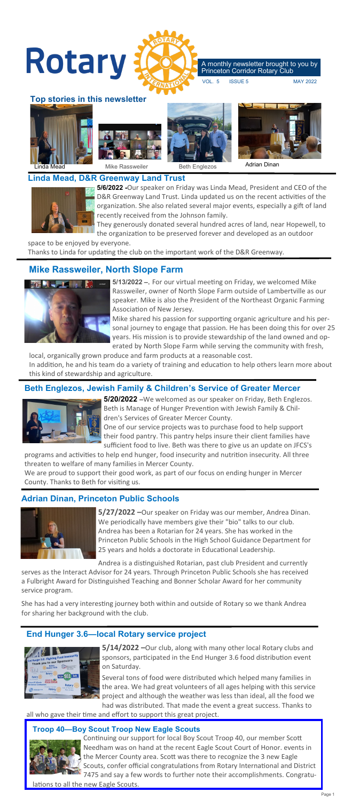

### **Linda Mead, D&R Greenway Land Trust**



**5/6/2022 -**Our speaker on Friday was Linda Mead, President and CEO of the D&R Greenway Land Trust. Linda updated us on the recent activities of the organization. She also related several major events, especially a gift of land recently received from the Johnson family.

They generously donated several hundred acres of land, near Hopewell, to the organization to be preserved forever and developed as an outdoor

space to be enjoyed by everyone. Thanks to Linda for updating the club on the important work of the D&R Greenway.

# **Mike Rassweiler, North Slope Farm**



**5/13/2022 –**. For our virtual meeting on Friday, we welcomed Mike Rassweiler, owner of North Slope Farm outside of Lambertville as our speaker. Mike is also the President of the Northeast Organic Farming Association of New Jersey.

Mike shared his passion for supporting organic agriculture and his personal journey to engage that passion. He has been doing this for over 25 years. His mission is to provide stewardship of the land owned and operated by North Slope Farm while serving the community with fresh,

local, organically grown produce and farm products at a reasonable cost. In addition, he and his team do a variety of training and education to help others learn more about this kind of stewardship and agriculture.

## **Beth Englezos, Jewish Family & Children's Service of Greater Mercer**



**5/20/2022 –**We welcomed as our speaker on Friday, Beth Englezos. Beth is Manage of Hunger Prevention with Jewish Family & Children's Services of Greater Mercer County.

One of our service projects was to purchase food to help support their food pantry. This pantry helps insure their client families have sufficient food to live. Beth was there to give us an update on JFCS's

programs and activities to help end hunger, food insecurity and nutrition insecurity. All three threaten to welfare of many families in Mercer County. We are proud to support their good work, as part of our focus on ending hunger in Mercer County. Thanks to Beth for visiting us.

## **Adrian Dinan, Princeton Public Schools**



**5/27/2022 –**Our speaker on Friday was our member, Andrea Dinan. We periodically have members give their "bio" talks to our club. Andrea has been a Rotarian for 24 years. She has worked in the Princeton Public Schools in the High School Guidance Department for 25 years and holds a doctorate in Educational Leadership.

Andrea is a distinguished Rotarian, past club President and currently serves as the Interact Advisor for 24 years. Through Princeton Public Schools she has received a Fulbright Award for Distinguished Teaching and Bonner Scholar Award for her community service program.

She has had a very interesting journey both within and outside of Rotary so we thank Andrea for sharing her background with the club.

## **End Hunger 3.6—local Rotary service project**



**5/14/2022 –**Our club, along with many other local Rotary clubs and sponsors, participated in the End Hunger 3.6 food distribution event on Saturday.

Several tons of food were distributed which helped many families in the area. We had great volunteers of all ages helping with this service project and although the weather was less than ideal, all the food we had was distributed. That made the event a great success. Thanks to

all who gave their time and effort to support this great project.

### **Troop 40—Boy Scout Troop New Eagle Scouts**

Continuing our support for local Boy Scout Troop 40, our member Scott Needham was on hand at the recent Eagle Scout Court of Honor. events in the Mercer County area. Scott was there to recognize the 3 new Eagle Scouts, confer official congratulations from Rotary International and District 7475 and say a few words to further note their accomplishments. Congratu-